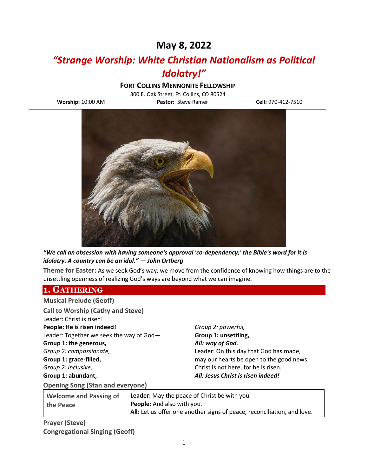# **May 8, 2022**

# *"Strange Worship: White Christian Nationalism as Political Idolatry!"*

### **FORT COLLINS MENNONITE FELLOWSHIP**

300 E. Oak Street, Ft. Collins, CO 80524 **Worship:** 10:00 AM **Pastor:** Steve Ramer **Cell:** 970-412-7510



*"We call an obsession with having someone's approval 'co-dependency;' the Bible's word for it is idolatry. A country can be an idol." — John Ortberg*

**Theme for Easter:** As we seek God's way, we move from the confidence of knowing how things are to the unsettling openness of realizing God's ways are beyond what we can imagine.

### **1. GATHERING**

| <b>Musical Prelude (Geoff)</b>             |                                                                            |                                          |
|--------------------------------------------|----------------------------------------------------------------------------|------------------------------------------|
| <b>Call to Worship (Cathy and Steve)</b>   |                                                                            |                                          |
| Leader: Christ is risen!                   |                                                                            |                                          |
| People: He is risen indeed!                |                                                                            | Group 2: powerful,                       |
| Leader: Together we seek the way of God-   |                                                                            | Group 1: unsettling,                     |
| Group 1: the generous,                     |                                                                            | All: way of God.                         |
| Group 2: compassionate,                    |                                                                            | Leader: On this day that God has made,   |
| Group 1: grace-filled,                     |                                                                            | may our hearts be open to the good news: |
| Group 2: inclusive,                        |                                                                            | Christ is not here, for he is risen.     |
| Group 1: abundant,                         |                                                                            | All: Jesus Christ is risen indeed!       |
| <b>Opening Song (Stan and everyone)</b>    |                                                                            |                                          |
| <b>Welcome and Passing of</b><br>the Peace | Leader: May the peace of Christ be with you.<br>People: And also with you. |                                          |

**All:** Let us offer one another signs of peace, reconciliation, and love.

**Prayer (Steve) Congregational Singing (Geoff)**